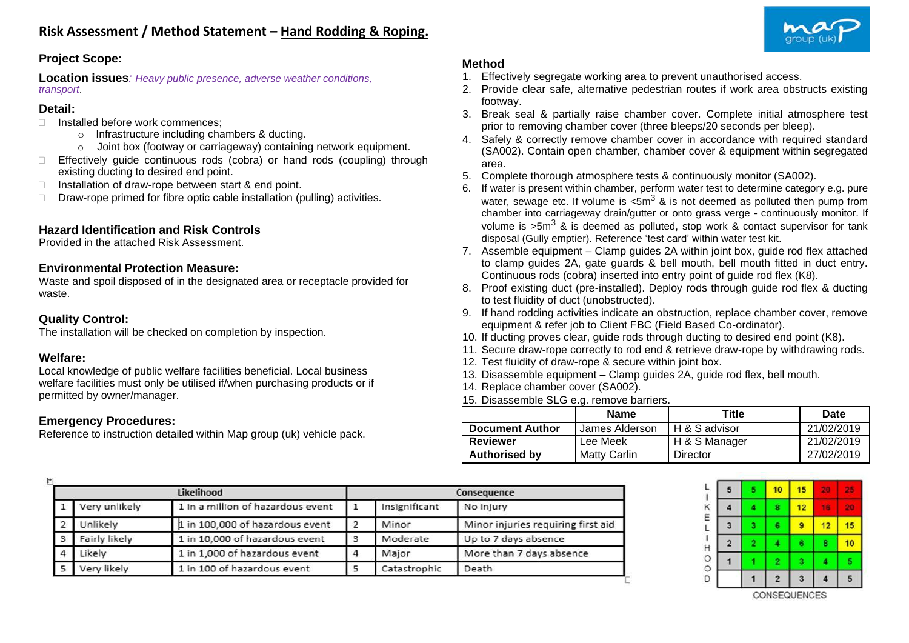

# **Project Scope:**

**Location issues***: Heavy public presence, adverse weather conditions, transport*.

#### **Detail:**

- Installed before work commences;
	- o Infrastructure including chambers & ducting.
	- o Joint box (footway or carriageway) containing network equipment.
- $\Box$  Effectively quide continuous rods (cobra) or hand rods (coupling) through existing ducting to desired end point.
- $\Box$  Installation of draw-rope between start & end point.
- $\Box$  Draw-rope primed for fibre optic cable installation (pulling) activities.

## **Hazard Identification and Risk Controls**

Provided in the attached Risk Assessment.

#### **Environmental Protection Measure:**

Waste and spoil disposed of in the designated area or receptacle provided for waste.

### **Quality Control:**

The installation will be checked on completion by inspection.

#### **Welfare:**

Local knowledge of public welfare facilities beneficial. Local business welfare facilities must only be utilised if/when purchasing products or if permitted by owner/manager.

# **Emergency Procedures:**

Reference to instruction detailed within Map group (uk) vehicle pack.

## **Method**

- 1. Effectively segregate working area to prevent unauthorised access.
- 2. Provide clear safe, alternative pedestrian routes if work area obstructs existing footway.
- 3. Break seal & partially raise chamber cover. Complete initial atmosphere test prior to removing chamber cover (three bleeps/20 seconds per bleep).
- 4. Safely & correctly remove chamber cover in accordance with required standard (SA002). Contain open chamber, chamber cover & equipment within segregated area.
- 5. Complete thorough atmosphere tests & continuously monitor (SA002).
- 6. If water is present within chamber, perform water test to determine category e.g. pure water, sewage etc. If volume is  $\langle 5m^3 \times n \rangle$  is not deemed as polluted then pump from chamber into carriageway drain/gutter or onto grass verge - continuously monitor. If volume is  $>5m^3$  & is deemed as polluted, stop work & contact supervisor for tank disposal (Gully emptier). Reference 'test card' within water test kit.
- 7. Assemble equipment Clamp guides 2A within joint box, guide rod flex attached to clamp guides 2A, gate guards & bell mouth, bell mouth fitted in duct entry. Continuous rods (cobra) inserted into entry point of guide rod flex (K8).
- 8. Proof existing duct (pre-installed). Deploy rods through guide rod flex & ducting to test fluidity of duct (unobstructed).
- 9. If hand rodding activities indicate an obstruction, replace chamber cover, remove equipment & refer job to Client FBC (Field Based Co-ordinator).
- 10. If ducting proves clear, guide rods through ducting to desired end point (K8).
- 11. Secure draw-rope correctly to rod end & retrieve draw-rope by withdrawing rods.
- 12. Test fluidity of draw-rope & secure within joint box.
- 13. Disassemble equipment Clamp guides 2A, guide rod flex, bell mouth.
- 14. Replace chamber cover (SA002).
- 15. Disassemble SLG e.g. remove barriers.

|                        | <b>Name</b>    | Title         | Date       |
|------------------------|----------------|---------------|------------|
| <b>Document Author</b> | James Alderson | H & S advisor | 21/02/2019 |
| <b>Reviewer</b>        | Lee Meek       | H & S Manager | 21/02/2019 |
| <b>Authorised by</b>   | Matty Carlin   | Director      | 27/02/2019 |

| H |               |                                   |                |               |                                    |
|---|---------------|-----------------------------------|----------------|---------------|------------------------------------|
|   |               | Likelihood                        |                |               | Consequence                        |
|   | Very unlikely | 1 in a million of hazardous event |                | Insignificant | No injury                          |
|   | Unlikely      | 1 in 100,000 of hazardous event   | $\overline{2}$ | Minor         | Minor injuries requiring first aid |
| 3 | Fairly likely | 1 in 10,000 of hazardous event    | 3              | Moderate      | Up to 7 days absence               |
| Δ | Likely        | 1 in 1,000 of hazardous event     | $\Delta$       | Major         | More than 7 days absence           |
| 5 | Very likely   | 1 in 100 of hazardous event       |                | Catastrophic  | Death                              |

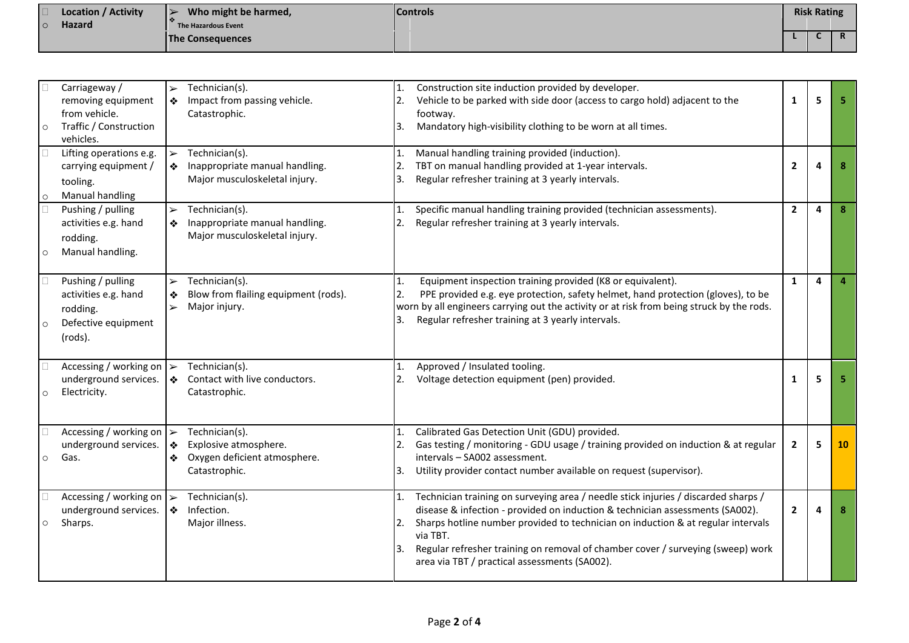| $\Box$<br>$\overline{\circ}$ | Location / Activity<br><b>Hazard</b> | Who might be harmed,<br>The Hazardous Event | <b>Controls</b> | <b>Risk Rating</b> |          |
|------------------------------|--------------------------------------|---------------------------------------------|-----------------|--------------------|----------|
|                              |                                      | <b>The Consequences</b>                     |                 |                    | <b>n</b> |

| $\circ$ | Carriageway /<br>removing equipment<br>from vehicle.<br>Traffic / Construction<br>vehicles. | $\blacktriangleright$<br>❖                          | Technician(s).<br>Impact from passing vehicle.<br>Catastrophic.                          | 2.<br>3.        | Construction site induction provided by developer.<br>Vehicle to be parked with side door (access to cargo hold) adjacent to the<br>footway.<br>Mandatory high-visibility clothing to be worn at all times.                                                                                                                                                                                             | $\mathbf{1}$   | 5 | 5              |
|---------|---------------------------------------------------------------------------------------------|-----------------------------------------------------|------------------------------------------------------------------------------------------|-----------------|---------------------------------------------------------------------------------------------------------------------------------------------------------------------------------------------------------------------------------------------------------------------------------------------------------------------------------------------------------------------------------------------------------|----------------|---|----------------|
|         | Lifting operations e.g.<br>carrying equipment /<br>tooling.<br><b>Manual handling</b>       | $\blacktriangleright$<br>❖                          | Technician(s).<br>Inappropriate manual handling.<br>Major musculoskeletal injury.        | 1.<br>2.<br>3.  | Manual handling training provided (induction).<br>TBT on manual handling provided at 1-year intervals.<br>Regular refresher training at 3 yearly intervals.                                                                                                                                                                                                                                             | $\overline{2}$ | Δ | 8              |
| $\circ$ | Pushing / pulling<br>activities e.g. hand<br>rodding.<br>Manual handling.                   | $\blacktriangleright$<br>❖                          | Technician(s).<br>Inappropriate manual handling.<br>Major musculoskeletal injury.        | 1.<br>2.        | Specific manual handling training provided (technician assessments).<br>Regular refresher training at 3 yearly intervals.                                                                                                                                                                                                                                                                               | $\overline{2}$ | 4 | 8              |
|         | Pushing / pulling<br>activities e.g. hand<br>rodding.<br>Defective equipment<br>(rods).     | $\blacktriangleright$<br>❖<br>$\blacktriangleright$ | Technician(s).<br>Blow from flailing equipment (rods).<br>Major injury.                  | 1.<br>2.<br>3.  | Equipment inspection training provided (K8 or equivalent).<br>PPE provided e.g. eye protection, safety helmet, hand protection (gloves), to be<br>worn by all engineers carrying out the activity or at risk from being struck by the rods.<br>Regular refresher training at 3 yearly intervals.                                                                                                        | 1              | 4 | $\overline{a}$ |
| $\circ$ | Accessing / working on $\triangleright$<br>underground services.<br>Electricity.            | ❖                                                   | Technician(s).<br>Contact with live conductors.<br>Catastrophic.                         | 1.              | Approved / Insulated tooling.<br>Voltage detection equipment (pen) provided.                                                                                                                                                                                                                                                                                                                            | 1              | 5 | 5              |
| $\circ$ | Accessing / working on<br>underground services.<br>Gas.                                     | $\blacktriangleright$<br>$\clubsuit$<br>❖           | Technician(s).<br>Explosive atmosphere.<br>Oxygen deficient atmosphere.<br>Catastrophic. | 1.<br>2.<br>3.  | Calibrated Gas Detection Unit (GDU) provided.<br>Gas testing / monitoring - GDU usage / training provided on induction & at regular<br>intervals - SA002 assessment.<br>Utility provider contact number available on request (supervisor).                                                                                                                                                              | $\overline{2}$ | 5 | 10             |
| $\circ$ | Accessing / working on<br>underground services.<br>Sharps.                                  | $\blacktriangleright$<br>$\bullet$                  | Technician(s).<br>Infection.<br>Major illness.                                           | 1.<br>2.<br>l3. | Technician training on surveying area / needle stick injuries / discarded sharps /<br>disease & infection - provided on induction & technician assessments (SA002).<br>Sharps hotline number provided to technician on induction & at regular intervals<br>via TBT.<br>Regular refresher training on removal of chamber cover / surveying (sweep) work<br>area via TBT / practical assessments (SA002). | $\mathbf{2}$   | Δ | 8              |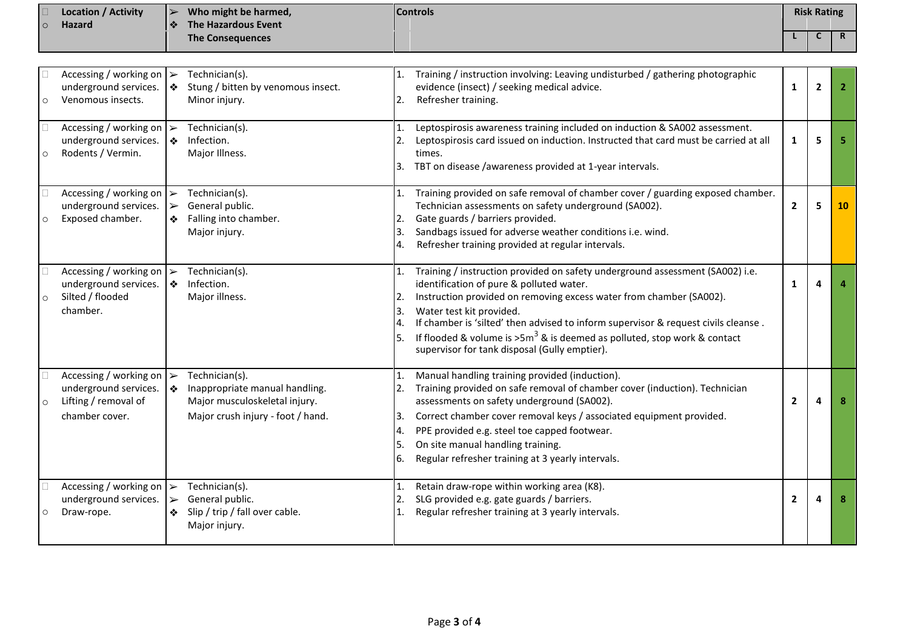|         | <b>Location / Activity</b> | $\blacktriangleright$ | Who might be harmed,    | <b>Controls</b> | <b>Risk Rating</b> |              |
|---------|----------------------------|-----------------------|-------------------------|-----------------|--------------------|--------------|
| $\circ$ | <b>Hazard</b>              | I ⊰⊱                  | The Hazardous Event     |                 |                    |              |
|         |                            |                       | <b>The Consequences</b> |                 |                    | $\mathbf{a}$ |

| $\circ$ | Accessing / working on $\triangleright$<br>underground services.<br>Venomous insects.                   | $\bullet$                  | Technician(s).<br>Stung / bitten by venomous insect.<br>Minor injury.                                                  | 2.                   | Training / instruction involving: Leaving undisturbed / gathering photographic<br>evidence (insect) / seeking medical advice.<br>Refresher training.                                                                                                                                                                                                                                                                                               | $\mathbf{1}$   | $\overline{2}$ | $\overline{2}$ |
|---------|---------------------------------------------------------------------------------------------------------|----------------------------|------------------------------------------------------------------------------------------------------------------------|----------------------|----------------------------------------------------------------------------------------------------------------------------------------------------------------------------------------------------------------------------------------------------------------------------------------------------------------------------------------------------------------------------------------------------------------------------------------------------|----------------|----------------|----------------|
| $\circ$ | Accessing / working on $\triangleright$<br>underground services.<br>Rodents / Vermin.                   | ❖                          | Technician(s).<br>Infection.<br>Major Illness.                                                                         | 1.<br>2.             | Leptospirosis awareness training included on induction & SA002 assessment.<br>Leptospirosis card issued on induction. Instructed that card must be carried at all<br>times.<br>3. TBT on disease /awareness provided at 1-year intervals.                                                                                                                                                                                                          | 1              | 5              | 5              |
| C       | Accessing / working on $\triangleright$<br>underground services.<br>Exposed chamber.                    | $\blacktriangleright$<br>❖ | Technician(s).<br>General public.<br>Falling into chamber.<br>Major injury.                                            | 1.<br>2.<br>3.<br>4. | Training provided on safe removal of chamber cover / guarding exposed chamber.<br>Technician assessments on safety underground (SA002).<br>Gate guards / barriers provided.<br>Sandbags issued for adverse weather conditions i.e. wind.<br>Refresher training provided at regular intervals.                                                                                                                                                      | $\overline{2}$ | 5              | 10             |
| $\circ$ | Accessing / working on $\rightarrow$<br>underground services.<br>Silted / flooded<br>chamber.           | ❖                          | Technician(s).<br>Infection.<br>Major illness.                                                                         | 1.<br>2.<br>3.       | Training / instruction provided on safety underground assessment (SA002) i.e.<br>identification of pure & polluted water.<br>Instruction provided on removing excess water from chamber (SA002).<br>Water test kit provided.<br>If chamber is 'silted' then advised to inform supervisor & request civils cleanse.<br>If flooded & volume is $>5m^3$ & is deemed as polluted, stop work & contact<br>supervisor for tank disposal (Gully emptier). | 1              | 4              |                |
| $\circ$ | Accessing / working on $\rightarrow$<br>underground services.<br>Lifting / removal of<br>chamber cover. | $\bullet$                  | Technician(s).<br>Inappropriate manual handling.<br>Major musculoskeletal injury.<br>Major crush injury - foot / hand. | 3.<br>4.<br>5.<br>6. | Manual handling training provided (induction).<br>Training provided on safe removal of chamber cover (induction). Technician<br>assessments on safety underground (SA002).<br>Correct chamber cover removal keys / associated equipment provided.<br>PPE provided e.g. steel toe capped footwear.<br>On site manual handling training.<br>Regular refresher training at 3 yearly intervals.                                                        | $\overline{2}$ | $\sqrt{2}$     | 8              |
|         | Accessing / working on $\rightarrow$<br>underground services.<br>Draw-rope.                             | $\blacktriangleright$<br>❖ | Technician(s).<br>General public.<br>Slip / trip / fall over cable.<br>Major injury.                                   |                      | Retain draw-rope within working area (K8).<br>SLG provided e.g. gate guards / barriers.<br>Regular refresher training at 3 yearly intervals.                                                                                                                                                                                                                                                                                                       | $\overline{2}$ | 4              | 8              |